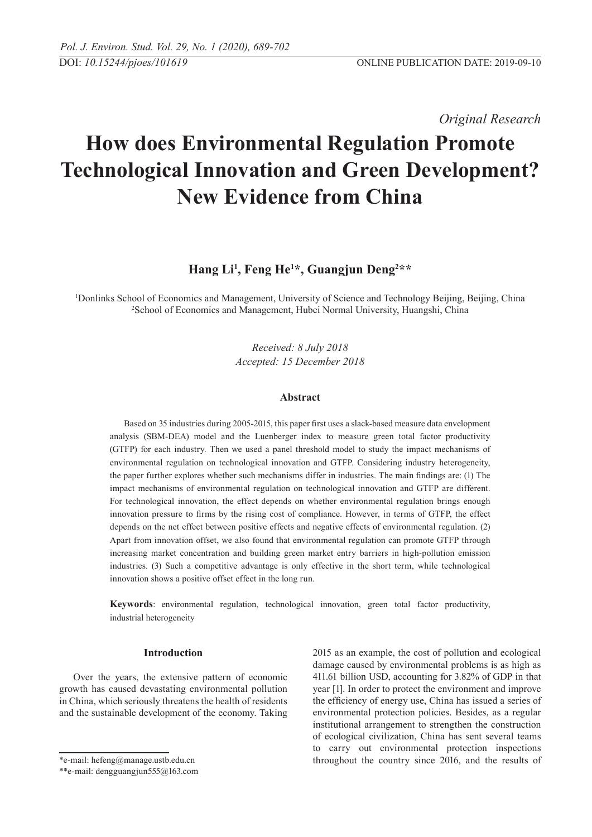*Original Research* 

# **How does Environmental Regulation Promote Technological Innovation and Green Development? New Evidence from China**

## **Hang Li1 , Feng He1 \*, Guangjun Deng2 \*\***

1 Donlinks School of Economics and Management, University of Science and Technology Beijing, Beijing, China 2 School of Economics and Management, Hubei Normal University, Huangshi, China

> *Received: 8 July 2018 Accepted: 15 December 2018*

## **Abstract**

Based on 35 industries during 2005-2015, this paper first uses a slack-based measure data envelopment analysis (SBM-DEA) model and the Luenberger index to measure green total factor productivity (GTFP) for each industry. Then we used a panel threshold model to study the impact mechanisms of environmental regulation on technological innovation and GTFP. Considering industry heterogeneity, the paper further explores whether such mechanisms differ in industries. The main findings are: (1) The impact mechanisms of environmental regulation on technological innovation and GTFP are different. For technological innovation, the effect depends on whether environmental regulation brings enough innovation pressure to firms by the rising cost of compliance. However, in terms of GTFP, the effect depends on the net effect between positive effects and negative effects of environmental regulation. (2) Apart from innovation offset, we also found that environmental regulation can promote GTFP through increasing market concentration and building green market entry barriers in high-pollution emission industries. (3) Such a competitive advantage is only effective in the short term, while technological innovation shows a positive offset effect in the long run.

**Keywords**: environmental regulation, technological innovation, green total factor productivity, industrial heterogeneity

## **Introduction**

Over the years, the extensive pattern of economic growth has caused devastating environmental pollution in China, which seriously threatens the health of residents and the sustainable development of the economy. Taking

\*e-mail: hefeng@manage.ustb.edu.cn

2015 as an example, the cost of pollution and ecological damage caused by environmental problems is as high as 411.61 billion USD, accounting for 3.82% of GDP in that year [1]. In order to protect the environment and improve the efficiency of energy use, China has issued a series of environmental protection policies. Besides, as a regular institutional arrangement to strengthen the construction of ecological civilization, China has sent several teams to carry out environmental protection inspections throughout the country since 2016, and the results of

<sup>\*\*</sup>e-mail: dengguangjun555@163.com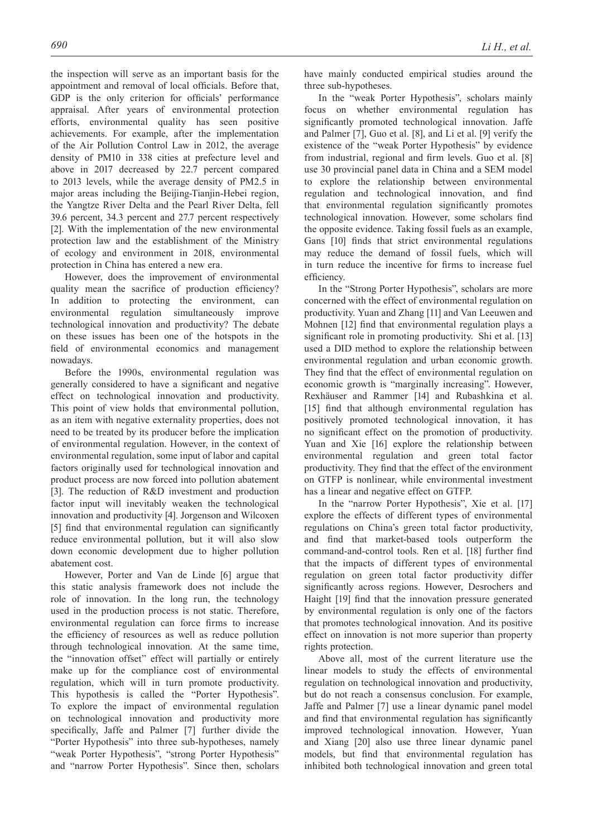the inspection will serve as an important basis for the appointment and removal of local officials. Before that, GDP is the only criterion for officials' performance appraisal. After years of environmental protection efforts, environmental quality has seen positive achievements. For example, after the implementation of the Air Pollution Control Law in 2012, the average density of PM10 in 338 cities at prefecture level and above in 2017 decreased by 22.7 percent compared to 2013 levels, while the average density of PM2.5 in major areas including the Beijing-Tianjin-Hebei region, the Yangtze River Delta and the Pearl River Delta, fell 39.6 percent, 34.3 percent and 27.7 percent respectively [2]. With the implementation of the new environmental protection law and the establishment of the Ministry of ecology and environment in 2018, environmental protection in China has entered a new era.

However, does the improvement of environmental quality mean the sacrifice of production efficiency? In addition to protecting the environment, can environmental regulation simultaneously improve technological innovation and productivity? The debate on these issues has been one of the hotspots in the field of environmental economics and management nowadays.

Before the 1990s, environmental regulation was generally considered to have a significant and negative effect on technological innovation and productivity. This point of view holds that environmental pollution, as an item with negative externality properties, does not need to be treated by its producer before the implication of environmental regulation. However, in the context of environmental regulation, some input of labor and capital factors originally used for technological innovation and product process are now forced into pollution abatement [3]. The reduction of R&D investment and production factor input will inevitably weaken the technological innovation and productivity [4]. Jorgenson and Wilcoxen [5] find that environmental regulation can significantly reduce environmental pollution, but it will also slow down economic development due to higher pollution abatement cost.

However, Porter and Van de Linde [6] argue that this static analysis framework does not include the role of innovation. In the long run, the technology used in the production process is not static. Therefore, environmental regulation can force firms to increase the efficiency of resources as well as reduce pollution through technological innovation. At the same time, the "innovation offset" effect will partially or entirely make up for the compliance cost of environmental regulation, which will in turn promote productivity. This hypothesis is called the "Porter Hypothesis". To explore the impact of environmental regulation on technological innovation and productivity more specifically, Jaffe and Palmer [7] further divide the "Porter Hypothesis" into three sub-hypotheses, namely "weak Porter Hypothesis", "strong Porter Hypothesis" and "narrow Porter Hypothesis". Since then, scholars

have mainly conducted empirical studies around the three sub-hypotheses.

In the "weak Porter Hypothesis", scholars mainly focus on whether environmental regulation has significantly promoted technological innovation. Jaffe and Palmer [7], Guo et al. [8], and Li et al. [9] verify the existence of the "weak Porter Hypothesis" by evidence from industrial, regional and firm levels. Guo et al. [8] use 30 provincial panel data in China and a SEM model to explore the relationship between environmental regulation and technological innovation, and find that environmental regulation significantly promotes technological innovation. However, some scholars find the opposite evidence. Taking fossil fuels as an example, Gans [10] finds that strict environmental regulations may reduce the demand of fossil fuels, which will in turn reduce the incentive for firms to increase fuel efficiency.

In the "Strong Porter Hypothesis", scholars are more concerned with the effect of environmental regulation on productivity. Yuan and Zhang [11] and Van Leeuwen and Mohnen [12] find that environmental regulation plays a significant role in promoting productivity. Shi et al. [13] used a DID method to explore the relationship between environmental regulation and urban economic growth. They find that the effect of environmental regulation on economic growth is "marginally increasing". However, Rexhäuser and Rammer [14] and Rubashkina et al. [15] find that although environmental regulation has positively promoted technological innovation, it has no significant effect on the promotion of productivity. Yuan and Xie [16] explore the relationship between environmental regulation and green total factor productivity. They find that the effect of the environment on GTFP is nonlinear, while environmental investment has a linear and negative effect on GTFP.

In the "narrow Porter Hypothesis", Xie et al. [17] explore the effects of different types of environmental regulations on China's green total factor productivity, and find that market-based tools outperform the command-and-control tools. Ren et al. [18] further find that the impacts of different types of environmental regulation on green total factor productivity differ significantly across regions. However, Desrochers and Haight [19] find that the innovation pressure generated by environmental regulation is only one of the factors that promotes technological innovation. And its positive effect on innovation is not more superior than property rights protection.

Above all, most of the current literature use the linear models to study the effects of environmental regulation on technological innovation and productivity, but do not reach a consensus conclusion. For example, Jaffe and Palmer [7] use a linear dynamic panel model and find that environmental regulation has significantly improved technological innovation. However, Yuan and Xiang [20] also use three linear dynamic panel models, but find that environmental regulation has inhibited both technological innovation and green total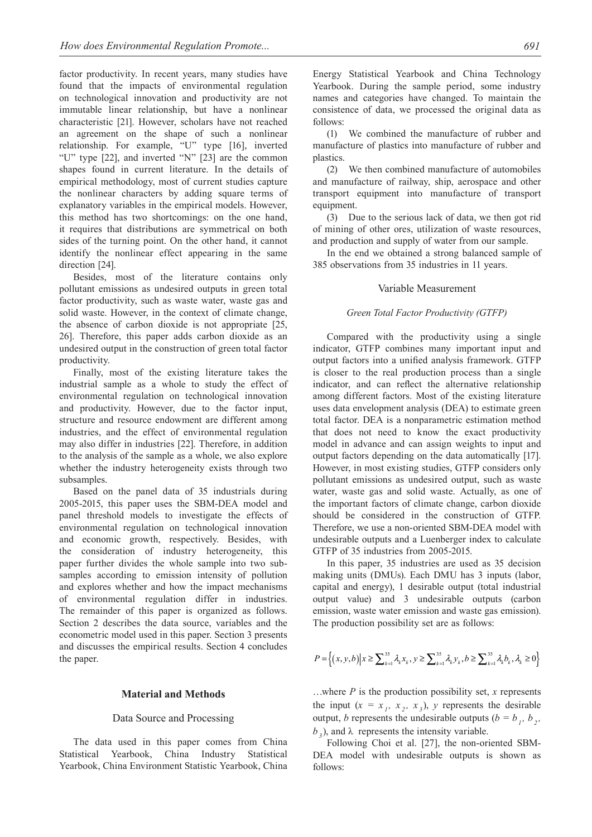factor productivity. In recent years, many studies have found that the impacts of environmental regulation on technological innovation and productivity are not immutable linear relationship, but have a nonlinear characteristic [21]. However, scholars have not reached an agreement on the shape of such a nonlinear relationship. For example, "U" type [16], inverted "U" type [22], and inverted "N" [23] are the common shapes found in current literature. In the details of empirical methodology, most of current studies capture the nonlinear characters by adding square terms of explanatory variables in the empirical models. However, this method has two shortcomings: on the one hand, it requires that distributions are symmetrical on both sides of the turning point. On the other hand, it cannot identify the nonlinear effect appearing in the same direction [24].

Besides, most of the literature contains only pollutant emissions as undesired outputs in green total factor productivity, such as waste water, waste gas and solid waste. However, in the context of climate change, the absence of carbon dioxide is not appropriate [25, 26]. Therefore, this paper adds carbon dioxide as an undesired output in the construction of green total factor productivity.

Finally, most of the existing literature takes the industrial sample as a whole to study the effect of environmental regulation on technological innovation and productivity. However, due to the factor input, structure and resource endowment are different among industries, and the effect of environmental regulation may also differ in industries [22]. Therefore, in addition to the analysis of the sample as a whole, we also explore whether the industry heterogeneity exists through two subsamples.

Based on the panel data of 35 industrials during 2005-2015, this paper uses the SBM-DEA model and panel threshold models to investigate the effects of environmental regulation on technological innovation and economic growth, respectively. Besides, with the consideration of industry heterogeneity, this paper further divides the whole sample into two subsamples according to emission intensity of pollution and explores whether and how the impact mechanisms of environmental regulation differ in industries. The remainder of this paper is organized as follows. Section 2 describes the data source, variables and the econometric model used in this paper. Section 3 presents and discusses the empirical results. Section 4 concludes the paper.

#### **Material and Methods**

## Data Source and Processing

The data used in this paper comes from China Statistical Yearbook, China Industry Statistical Yearbook, China Environment Statistic Yearbook, China Energy Statistical Yearbook and China Technology Yearbook. During the sample period, some industry names and categories have changed. To maintain the consistence of data, we processed the original data as follows:

(1) We combined the manufacture of rubber and manufacture of plastics into manufacture of rubber and plastics.

(2) We then combined manufacture of automobiles and manufacture of railway, ship, aerospace and other transport equipment into manufacture of transport equipment.

(3) Due to the serious lack of data, we then got rid of mining of other ores, utilization of waste resources, and production and supply of water from our sample.

In the end we obtained a strong balanced sample of 385 observations from 35 industries in 11 years.

#### Variable Measurement

#### *Green Total Factor Productivity (GTFP)*

Compared with the productivity using a single indicator, GTFP combines many important input and output factors into a unified analysis framework. GTFP is closer to the real production process than a single indicator, and can reflect the alternative relationship among different factors. Most of the existing literature uses data envelopment analysis (DEA) to estimate green total factor. DEA is a nonparametric estimation method that does not need to know the exact productivity model in advance and can assign weights to input and output factors depending on the data automatically [17]. However, in most existing studies, GTFP considers only pollutant emissions as undesired output, such as waste water, waste gas and solid waste. Actually, as one of the important factors of climate change, carbon dioxide should be considered in the construction of GTFP. Therefore, we use a non-oriented SBM-DEA model with undesirable outputs and a Luenberger index to calculate GTFP of 35 industries from 2005-2015.

In this paper, 35 industries are used as 35 decision making units (DMUs). Each DMU has 3 inputs (labor, capital and energy), 1 desirable output (total industrial output value) and 3 undesirable outputs (carbon emission, waste water emission and waste gas emission). The production possibility set are as follows:

$$
P = \left\{ (x, y, b) \middle| x \ge \sum_{k=1}^{35} \lambda_k x_k, y \ge \sum_{k=1}^{35} \lambda_k y_k, b \ge \sum_{k=1}^{35} \lambda_k b_k, \lambda_k \ge 0 \right\}
$$

…where *P* is the production possibility set, *x* represents the input  $(x = x_1, x_2, x_3)$ , *y* represents the desirable output, *b* represents the undesirable outputs ( $b = b<sub>T</sub>$ ,  $b<sub>2</sub>$ , *b*<sub>3</sub>), and λ represents the intensity variable.

Following Choi et al. [27], the non-oriented SBM-DEA model with undesirable outputs is shown as follows: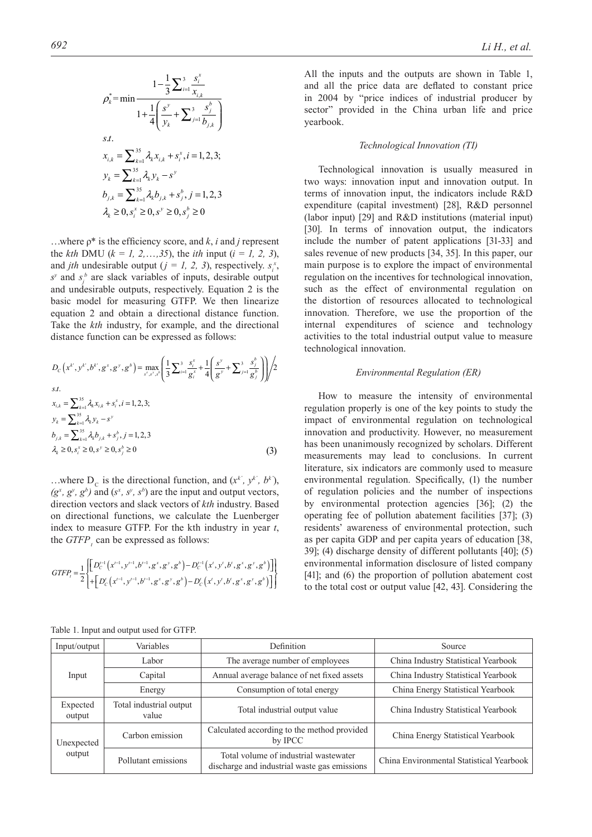$$
\rho_k^* = \min \frac{1 - \frac{1}{3} \sum_{i=1}^3 \frac{s_i^x}{x_{i,k}}}{1 + \frac{1}{4} \left( \frac{s^y}{y_k} + \sum_{j=1}^3 \frac{s_j^b}{b_{j,k}} \right)}
$$
\ns.t.  
\n
$$
x_{i,k} = \sum_{k=1}^{35} \lambda_k x_{i,k} + s_i^x, i = 1, 2, 3;
$$
\n
$$
y_k = \sum_{k=1}^{35} \lambda_k y_k - s^y
$$
\n
$$
b_{j,k} = \sum_{k=1}^{35} \lambda_k b_{j,k} + s_j^b, j = 1, 2, 3
$$
\n
$$
\lambda_k \ge 0, s_i^x \ge 0, s^y \ge 0, s^b \ge 0
$$

…where ρ\* is the efficiency score, and *k*, *i* and *j* represent the *kth* DMU ( $k = 1, 2, \ldots, 35$ ), the *ith* input ( $i = 1, 2, 3$ ), and *jth* undesirable output ( $j = 1, 2, 3$ ), respectively.  $s_i^x$ ,  $s^p$  and  $s^b$  are slack variables of inputs, desirable output and undesirable outputs, respectively. Equation 2 is the basic model for measuring GTFP. We then linearize equation 2 and obtain a directional distance function. Take the *kth* industry, for example, and the directional distance function can be expressed as follows:

$$
D_{C}\left(x^{k^{i}}, y^{k^{i}}, b^{k^{i}}, g^{x}, g^{y}, g^{b}\right) = \max_{s^{x}, s^{y}, s^{b}}\left(\frac{1}{3}\sum_{i=1}^{3}\frac{s_{i}^{x}}{g_{i}^{x}} + \frac{1}{4}\left(\frac{s^{y}}{g_{i}^{y}} + \sum_{j=1}^{3}\frac{s_{j}^{b}}{g_{j}^{b}}\right)\right)\left/2\right.
$$
  
s.t.  

$$
x_{i,k} = \sum_{k=1}^{35} \lambda_{k} x_{i,k} + s_{i}^{x}, i = 1, 2, 3;
$$

$$
y_{k} = \sum_{k=1}^{35} \lambda_{k} y_{k} - s^{y}
$$

$$
b_{j,k} = \sum_{k=1}^{35} \lambda_{k} b_{j,k} + s_{j}^{b}, j = 1, 2, 3
$$

$$
\lambda_{k} \ge 0, s_{i}^{x} \ge 0, s^{y} \ge 0, s_{j}^{b} \ge 0
$$
(3)

...where  $D_c$  is the directional function, and  $(x^k, y^k, b^k)$ ,  $(g^x, g^y, g^b)$  and  $(s^x, s^y, s^b)$  are the input and output vectors, direction vectors and slack vectors of *kth* industry. Based on directional functions, we calculate the Luenberger index to measure GTFP. For the kth industry in year *t*, the  $GTFP$ <sub>*t*</sub></sub> can be expressed as follows:

$$
GTFP_{i} = \frac{1}{2} \left\{ \begin{bmatrix} D_{C}^{i-1} (x^{i-1}, y^{i-1}, b^{i-1}, g^{x}, g^{y}, g^{b}) - D_{C}^{i-1} (x^{i}, y^{i}, b^{i}, g^{x}, g^{y}, g^{b}) \\ + \left[ D_{C}^{i} (x^{i-1}, y^{i-1}, b^{i-1}, g^{x}, g^{y}, g^{b}) - D_{C}^{i} (x^{i}, y^{i}, b^{i}, g^{x}, g^{y}, g^{b}) \right] \end{bmatrix} \right\}
$$

yearbook.

#### *Technological Innovation (TI)*

All the inputs and the outputs are shown in Table 1, and all the price data are deflated to constant price in 2004 by "price indices of industrial producer by sector" provided in the China urban life and price

Technological innovation is usually measured in two ways: innovation input and innovation output. In terms of innovation input, the indicators include R&D expenditure (capital investment) [28], R&D personnel (labor input) [29] and R&D institutions (material input) [30]. In terms of innovation output, the indicators include the number of patent applications [31-33] and sales revenue of new products [34, 35]. In this paper, our main purpose is to explore the impact of environmental regulation on the incentives for technological innovation, such as the effect of environmental regulation on the distortion of resources allocated to technological innovation. Therefore, we use the proportion of the internal expenditures of science and technology activities to the total industrial output value to measure technological innovation.

#### *Environmental Regulation (ER)*

How to measure the intensity of environmental regulation properly is one of the key points to study the impact of environmental regulation on technological innovation and productivity. However, no measurement has been unanimously recognized by scholars. Different measurements may lead to conclusions. In current literature, six indicators are commonly used to measure environmental regulation. Specifically, (1) the number of regulation policies and the number of inspections by environmental protection agencies [36]; (2) the operating fee of pollution abatement facilities [37]; (3) residents' awareness of environmental protection, such as per capita GDP and per capita years of education [38, 39]; (4) discharge density of different pollutants [40]; (5) environmental information disclosure of listed company [41]; and (6) the proportion of pollution abatement cost to the total cost or output value [42, 43]. Considering the

| Input/output         | Variables                        | Definition                                                                            | Source                                   |  |
|----------------------|----------------------------------|---------------------------------------------------------------------------------------|------------------------------------------|--|
| Input                | Labor                            | The average number of employees                                                       | China Industry Statistical Yearbook      |  |
|                      | Capital                          | Annual average balance of net fixed assets                                            | China Industry Statistical Yearbook      |  |
|                      | Energy                           | Consumption of total energy                                                           | China Energy Statistical Yearbook        |  |
| Expected<br>output   | Total industrial output<br>value | Total industrial output value                                                         | China Industry Statistical Yearbook      |  |
| Unexpected<br>output | Carbon emission                  | Calculated according to the method provided<br>by IPCC                                | China Energy Statistical Yearbook        |  |
|                      | Pollutant emissions              | Total volume of industrial wastewater<br>discharge and industrial waste gas emissions | China Environmental Statistical Yearbook |  |

Table 1. Input and output used for GTFP.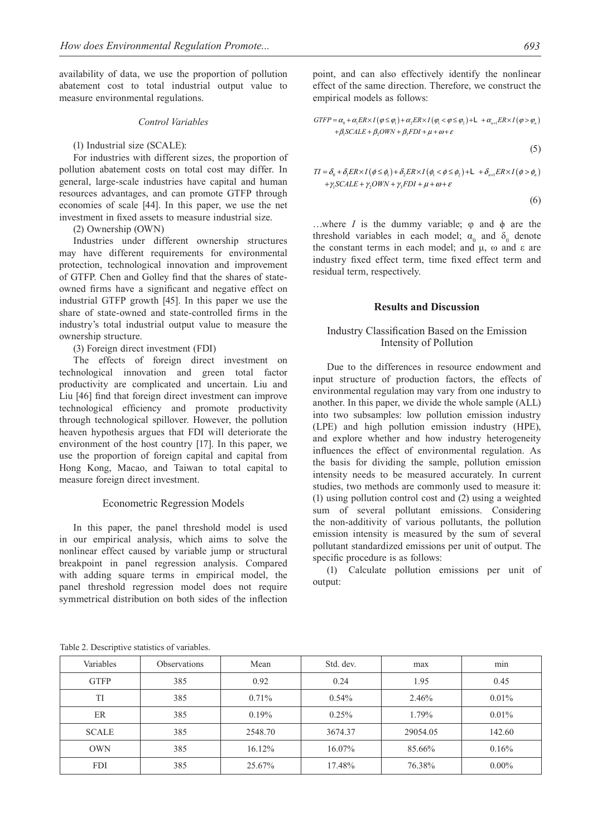availability of data, we use the proportion of pollution abatement cost to total industrial output value to measure environmental regulations.

#### *Control Variables*

#### (1) Industrial size (SCALE):

For industries with different sizes, the proportion of pollution abatement costs on total cost may differ. In general, large-scale industries have capital and human resources advantages, and can promote GTFP through economies of scale [44]. In this paper, we use the net investment in fixed assets to measure industrial size.

## (2) Ownership (OWN)

Industries under different ownership structures may have different requirements for environmental protection, technological innovation and improvement of GTFP. Chen and Golley find that the shares of stateowned firms have a significant and negative effect on industrial GTFP growth [45]. In this paper we use the share of state-owned and state-controlled firms in the industry's total industrial output value to measure the ownership structure.

## (3) Foreign direct investment (FDI)

The effects of foreign direct investment on technological innovation and green total factor productivity are complicated and uncertain. Liu and Liu [46] find that foreign direct investment can improve technological efficiency and promote productivity through technological spillover. However, the pollution heaven hypothesis argues that FDI will deteriorate the environment of the host country [17]. In this paper, we use the proportion of foreign capital and capital from Hong Kong, Macao, and Taiwan to total capital to measure foreign direct investment.

#### Econometric Regression Models

In this paper, the panel threshold model is used in our empirical analysis, which aims to solve the nonlinear effect caused by variable jump or structural breakpoint in panel regression analysis. Compared with adding square terms in empirical model, the panel threshold regression model does not require symmetrical distribution on both sides of the inflection

point, and can also effectively identify the nonlinear effect of the same direction. Therefore, we construct the empirical models as follows:

$$
GTFP = \alpha_0 + \alpha_1 ER \times I(\varphi \le \varphi_1) + \alpha_2 ER \times I(\varphi_1 < \varphi \le \varphi_2) + L + \alpha_{n+1} ER \times I(\varphi > \varphi_n) + \beta_1 SCALE + \beta_2 OWN + \beta_3 FDI + \mu + \omega + \varepsilon
$$

$$
(5)
$$

$$
TI = \delta_0 + \delta_1 ER \times I (\phi \le \phi_1) + \delta_2 ER \times I (\phi_1 < \phi \le \phi_2) + L + \delta_{n+1} ER \times I (\phi > \phi_n)
$$
\n
$$
+ \gamma_1 SCALE + \gamma_2 OWN + \gamma_3 FDI + \mu + \omega + \varepsilon
$$

(6)

...where *I* is the dummy variable;  $\varphi$  and  $\varphi$  are the threshold variables in each model;  $\alpha_0$  and  $\delta_0$  denote the constant terms in each model; and  $μ$ , ω and ε are industry fixed effect term, time fixed effect term and residual term, respectively.

#### **Results and Discussion**

## Industry Classification Based on the Emission Intensity of Pollution

Due to the differences in resource endowment and input structure of production factors, the effects of environmental regulation may vary from one industry to another. In this paper, we divide the whole sample (ALL) into two subsamples: low pollution emission industry (LPE) and high pollution emission industry (HPE), and explore whether and how industry heterogeneity influences the effect of environmental regulation. As the basis for dividing the sample, pollution emission intensity needs to be measured accurately. In current studies, two methods are commonly used to measure it: (1) using pollution control cost and (2) using a weighted sum of several pollutant emissions. Considering the non-additivity of various pollutants, the pollution emission intensity is measured by the sum of several pollutant standardized emissions per unit of output. The specific procedure is as follows:

(1) Calculate pollution emissions per unit of output:

Table 2. Descriptive statistics of variables.

| Variables    | <b>Observations</b> | Mean      | Std. dev. | max      | $\sim$<br>min |
|--------------|---------------------|-----------|-----------|----------|---------------|
| <b>GTFP</b>  | 385                 | 0.92      | 0.24      | 1.95     | 0.45          |
| TI           | 385                 | $0.71\%$  | $0.54\%$  | 2.46%    | $0.01\%$      |
| ER           | 385                 | 0.19%     | $0.25\%$  | 1.79%    | $0.01\%$      |
| <b>SCALE</b> | 385                 | 2548.70   | 3674.37   | 29054.05 | 142.60        |
| <b>OWN</b>   | 385                 | $16.12\%$ | 16.07%    | 85.66%   | 0.16%         |
| <b>FDI</b>   | 385                 | 25.67%    | 17.48%    | 76.38%   | $0.00\%$      |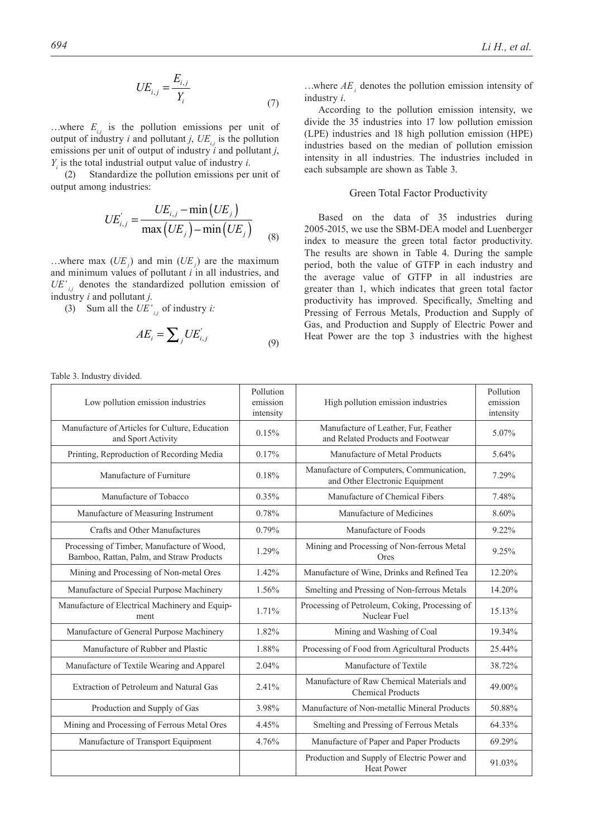$$
UE_{i,j} = \frac{E_{i,j}}{Y_i} \tag{7}
$$

...where  $E_{ij}$  is the pollution emissions per unit of output of industry *i* and pollutant *j*,  $UE_{i,j}$  is the pollution emissions per unit of output of industry *i* and pollutant *j*,  $Y_i$  is the total industrial output value of industry *i*.

(2) Standardize the pollution emissions per unit of output among industries:

$$
UE'_{i,j} = \frac{UE_{i,j} - \min\left(UE_j\right)}{\max\left(UE_j\right) - \min\left(UE_j\right)}
$$
\n(8)

...where max  $(UE<sub>j</sub>)$  and min  $(UE<sub>j</sub>)$  are the maximum and minimum values of pollutant *i* in all industries, and  $UE'_{i,j}$  denotes the standardized pollution emission of industry *i* and pollutant *j*.

(3) Sum all the  $UE'_{i,j}$  of industry *i*:

$$
AE_i = \sum_j UE_{i,j} \tag{9}
$$

Table 3. Industry divided.

...where  $AE_i$  denotes the pollution emission intensity of industry *i*.

According to the pollution emission intensity, we divide the 35 industries into 17 low pollution emission (LPE) industries and 18 high pollution emission (HPE) industries based on the median of pollution emission intensity in all industries. The industries included in each subsample are shown as Table 3.

## Green Total Factor Productivity

Based on the data of 35 industries during 2005-2015, we use the SBM-DEA model and Luenberger index to measure the green total factor productivity. The results are shown in Table 4. During the sample period, both the value of GTFP in each industry and the average value of GTFP in all industries are greater than 1, which indicates that green total factor productivity has improved. Specifically, *S*melting and Pressing of Ferrous Metals, Production and Supply of Gas, and Production and Supply of Electric Power and Heat Power are the top 3 industries with the highest

| Low pollution emission industries                                                      | Pollution<br>emission<br>intensity | High pollution emission industries                                         | Pollution<br>emission<br>intensity |
|----------------------------------------------------------------------------------------|------------------------------------|----------------------------------------------------------------------------|------------------------------------|
| Manufacture of Articles for Culture, Education<br>and Sport Activity                   | 0.15%                              | Manufacture of Leather, Fur, Feather<br>and Related Products and Footwear  | 5.07%                              |
| Printing, Reproduction of Recording Media                                              | 0.17%                              | Manufacture of Metal Products                                              | 5.64%                              |
| Manufacture of Furniture                                                               | 0.18%                              | Manufacture of Computers, Communication,<br>and Other Electronic Equipment | 7.29%                              |
| Manufacture of Tobacco                                                                 | 0.35%                              | Manufacture of Chemical Fibers                                             | 7.48%                              |
| Manufacture of Measuring Instrument                                                    | 0.78%                              | Manufacture of Medicines                                                   | 8.60%                              |
| Crafts and Other Manufactures                                                          | 0.79%                              | Manufacture of Foods                                                       | 9.22%                              |
| Processing of Timber, Manufacture of Wood,<br>Bamboo, Rattan, Palm, and Straw Products | 1.29%                              | Mining and Processing of Non-ferrous Metal<br>Ores                         | 9.25%                              |
| Mining and Processing of Non-metal Ores                                                | 1.42%                              | Manufacture of Wine, Drinks and Refined Tea                                | 12.20%                             |
| Manufacture of Special Purpose Machinery                                               | 1.56%                              | Smelting and Pressing of Non-ferrous Metals                                | 14.20%                             |
| Manufacture of Electrical Machinery and Equip-<br>ment                                 | 1.71%                              | Processing of Petroleum, Coking, Processing of<br>Nuclear Fuel             | 15.13%                             |
| Manufacture of General Purpose Machinery                                               | 1.82%                              | Mining and Washing of Coal                                                 | 19.34%                             |
| Manufacture of Rubber and Plastic                                                      | 1.88%                              | Processing of Food from Agricultural Products                              | 25.44%                             |
| Manufacture of Textile Wearing and Apparel                                             | 2.04%                              | Manufacture of Textile                                                     | 38.72%                             |
| Extraction of Petroleum and Natural Gas                                                | 2.41%                              | Manufacture of Raw Chemical Materials and<br><b>Chemical Products</b>      | 49.00%                             |
| Production and Supply of Gas                                                           | 3.98%                              | Manufacture of Non-metallic Mineral Products                               | 50.88%                             |
| Mining and Processing of Ferrous Metal Ores                                            | 4.45%                              | Smelting and Pressing of Ferrous Metals                                    | 64.33%                             |
| Manufacture of Transport Equipment                                                     | 4.76%                              | Manufacture of Paper and Paper Products                                    | 69.29%                             |
|                                                                                        |                                    | Production and Supply of Electric Power and<br><b>Heat Power</b>           | 91.03%                             |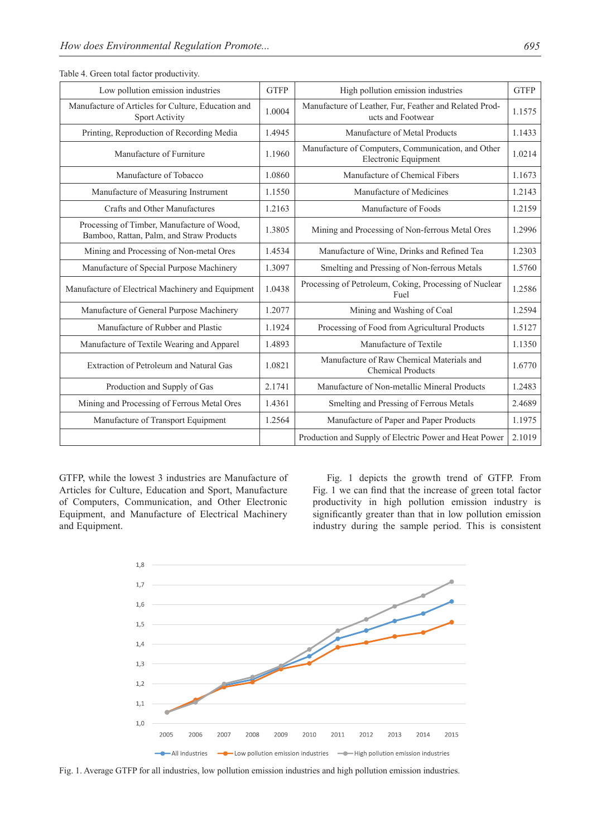| Table 4. Green total factor productivity.                                              |             |                                                                             |             |
|----------------------------------------------------------------------------------------|-------------|-----------------------------------------------------------------------------|-------------|
| Low pollution emission industries                                                      | <b>GTFP</b> | High pollution emission industries                                          | <b>GTFP</b> |
| Manufacture of Articles for Culture, Education and<br><b>Sport Activity</b>            | 1.0004      | Manufacture of Leather, Fur, Feather and Related Prod-<br>ucts and Footwear | 1.1575      |
| Printing, Reproduction of Recording Media                                              | 1.4945      | Manufacture of Metal Products                                               | 1.1433      |
| Manufacture of Furniture                                                               | 1.1960      | Manufacture of Computers, Communication, and Other<br>Electronic Equipment  | 1.0214      |
| Manufacture of Tobacco                                                                 | 1.0860      | Manufacture of Chemical Fibers                                              | 1.1673      |
| Manufacture of Measuring Instrument                                                    | 1.1550      | Manufacture of Medicines                                                    | 1.2143      |
| Crafts and Other Manufactures                                                          | 1.2163      | Manufacture of Foods                                                        | 1.2159      |
| Processing of Timber, Manufacture of Wood,<br>Bamboo, Rattan, Palm, and Straw Products | 1.3805      | Mining and Processing of Non-ferrous Metal Ores                             | 1.2996      |
| Mining and Processing of Non-metal Ores                                                | 1.4534      | Manufacture of Wine, Drinks and Refined Tea                                 | 1.2303      |
| Manufacture of Special Purpose Machinery                                               | 1.3097      | Smelting and Pressing of Non-ferrous Metals                                 | 1.5760      |
| Manufacture of Electrical Machinery and Equipment                                      | 1.0438      | Processing of Petroleum, Coking, Processing of Nuclear<br>Fuel              | 1.2586      |
| Manufacture of General Purpose Machinery                                               | 1.2077      | Mining and Washing of Coal                                                  | 1.2594      |
| Manufacture of Rubber and Plastic                                                      | 1.1924      | Processing of Food from Agricultural Products                               | 1.5127      |
| Manufacture of Textile Wearing and Apparel                                             | 1.4893      | Manufacture of Textile                                                      | 1.1350      |
| Extraction of Petroleum and Natural Gas                                                | 1.0821      | Manufacture of Raw Chemical Materials and<br><b>Chemical Products</b>       | 1.6770      |
| Production and Supply of Gas                                                           | 2.1741      | Manufacture of Non-metallic Mineral Products                                | 1.2483      |
| Mining and Processing of Ferrous Metal Ores                                            | 1.4361      | Smelting and Pressing of Ferrous Metals                                     | 2.4689      |
| Manufacture of Transport Equipment                                                     | 1.2564      | Manufacture of Paper and Paper Products                                     | 1.1975      |
|                                                                                        |             | Production and Supply of Electric Power and Heat Power                      | 2.1019      |

Table 4. Green total factor productivity.

GTFP, while the lowest 3 industries are Manufacture of Articles for Culture, Education and Sport, Manufacture of Computers, Communication, and Other Electronic Equipment, and Manufacture of Electrical Machinery and Equipment.

Fig. 1 depicts the growth trend of GTFP. From Fig. 1 we can find that the increase of green total factor productivity in high pollution emission industry is significantly greater than that in low pollution emission industry during the sample period. This is consistent



Fig. 1. Average GTFP for all industries, low pollution emission industries and high pollution emission industries.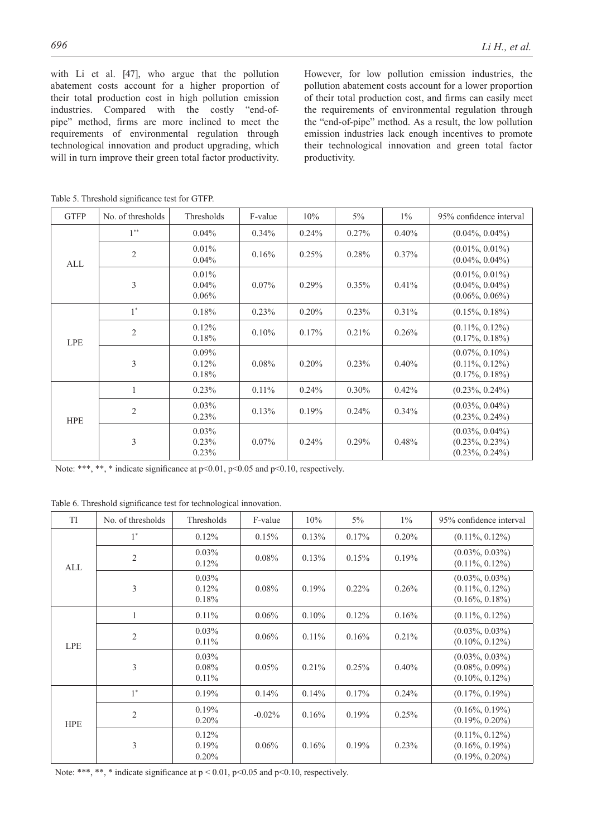with Li et al. [47], who argue that the pollution abatement costs account for a higher proportion of their total production cost in high pollution emission industries. Compared with the costly "end-ofpipe" method, firms are more inclined to meet the requirements of environmental regulation through technological innovation and product upgrading, which will in turn improve their green total factor productivity.

However, for low pollution emission industries, the pollution abatement costs account for a lower proportion of their total production cost, and firms can easily meet the requirements of environmental regulation through the "end-of-pipe" method. As a result, the low pollution emission industries lack enough incentives to promote their technological innovation and green total factor productivity.

| <b>GTFP</b> | No. of thresholds | Thresholds                    | F-value  | 10%      | $5\%$ | $1\%$    | 95% confidence interval                                        |
|-------------|-------------------|-------------------------------|----------|----------|-------|----------|----------------------------------------------------------------|
| ALL         | $1***$            | $0.04\%$                      | $0.34\%$ | $0.24\%$ | 0.27% | 0.40%    | $(0.04\%, 0.04\%)$                                             |
|             | $\overline{2}$    | $0.01\%$<br>0.04%             | 0.16%    | 0.25%    | 0.28% | $0.37\%$ | $(0.01\%, 0.01\%)$<br>$(0.04\%, 0.04\%)$                       |
|             | 3                 | 0.01%<br>$0.04\%$<br>$0.06\%$ | $0.07\%$ | $0.29\%$ | 0.35% | 0.41%    | $(0.01\%, 0.01\%)$<br>$(0.04\%, 0.04\%)$<br>$(0.06\%, 0.06\%)$ |
|             | $1^*$             | 0.18%                         | 0.23%    | 0.20%    | 0.23% | 0.31%    | $(0.15\%, 0.18\%)$                                             |
| <b>LPE</b>  | $\overline{2}$    | 0.12%<br>0.18%                | 0.10%    | 0.17%    | 0.21% | 0.26%    | $(0.11\%, 0.12\%)$<br>$(0.17\%, 0.18\%)$                       |
|             | 3                 | $0.09\%$<br>0.12%<br>0.18%    | 0.08%    | 0.20%    | 0.23% | 0.40%    | $(0.07\%, 0.10\%)$<br>$(0.11\%, 0.12\%)$<br>$(0.17\%, 0.18\%)$ |
| <b>HPE</b>  | 1                 | 0.23%                         | $0.11\%$ | $0.24\%$ | 0.30% | 0.42%    | $(0.23\%, 0.24\%)$                                             |
|             | $\mathfrak{2}$    | $0.03\%$<br>0.23%             | 0.13%    | 0.19%    | 0.24% | 0.34%    | $(0.03\%, 0.04\%)$<br>$(0.23\%, 0.24\%)$                       |
|             | 3                 | 0.03%<br>0.23%<br>0.23%       | 0.07%    | $0.24\%$ | 0.29% | 0.48%    | $(0.03\%, 0.04\%)$<br>$(0.23\%, 0.23\%)$<br>$(0.23\%, 0.24\%)$ |

Table 5. Threshold significance test for GTFP.

Note: \*\*\*, \*\*, \* indicate significance at  $p<0.01$ ,  $p<0.05$  and  $p<0.10$ , respectively.

Table 6. Threshold significance test for technological innovation.

| <b>TI</b>  | No. of thresholds | Thresholds                       | F-value   | 10%      | $5\%$    | $1\%$    | 95% confidence interval                                        |
|------------|-------------------|----------------------------------|-----------|----------|----------|----------|----------------------------------------------------------------|
| ALL        | $1^*$             | 0.12%                            | 0.15%     | 0.13%    | 0.17%    | 0.20%    | $(0.11\%, 0.12\%)$                                             |
|            | $\mathfrak{2}$    | $0.03\%$<br>0.12%                | 0.08%     | 0.13%    | 0.15%    | 0.19%    | $(0.03\%, 0.03\%)$<br>$(0.11\%, 0.12\%)$                       |
|            | 3                 | $0.03\%$<br>0.12%<br>0.18%       | $0.08\%$  | 0.19%    | $0.22\%$ | 0.26%    | $(0.03\%, 0.03\%)$<br>$(0.11\%, 0.12\%)$<br>$(0.16\%, 0.18\%)$ |
|            |                   | $0.11\%$                         | $0.06\%$  | 0.10%    | 0.12%    | 0.16%    | $(0.11\%, 0.12\%)$                                             |
| <b>LPE</b> | $\overline{2}$    | $0.03\%$<br>$0.11\%$             | $0.06\%$  | $0.11\%$ | 0.16%    | $0.21\%$ | $(0.03\%, 0.03\%)$<br>$(0.10\%, 0.12\%)$                       |
|            | 3                 | $0.03\%$<br>$0.08\%$<br>$0.11\%$ | 0.05%     | 0.21%    | 0.25%    | $0.40\%$ | $(0.03\%, 0.03\%)$<br>$(0.08\%, 0.09\%)$<br>$(0.10\%, 0.12\%)$ |
|            | $1^*$             | 0.19%                            | 0.14%     | 0.14%    | 0.17%    | $0.24\%$ | $(0.17\%, 0.19\%)$                                             |
| <b>HPE</b> | $\overline{c}$    | 0.19%<br>$0.20\%$                | $-0.02\%$ | 0.16%    | 0.19%    | 0.25%    | $(0.16\%, 0.19\%)$<br>$(0.19\%, 0.20\%)$                       |
|            | 3                 | 0.12%<br>0.19%<br>$0.20\%$       | $0.06\%$  | 0.16%    | 0.19%    | 0.23%    | $(0.11\%, 0.12\%)$<br>$(0.16\%, 0.19\%)$<br>$(0.19\%, 0.20\%)$ |

Note: \*\*\*, \*\*, \* indicate significance at  $p < 0.01$ ,  $p < 0.05$  and  $p < 0.10$ , respectively.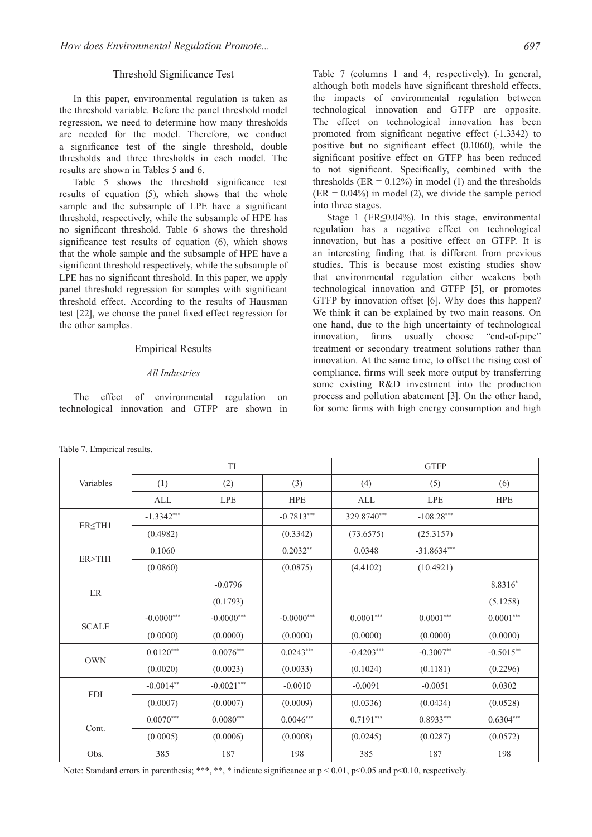## Threshold Significance Test

In this paper, environmental regulation is taken as the threshold variable. Before the panel threshold model regression, we need to determine how many thresholds are needed for the model. Therefore, we conduct a significance test of the single threshold, double thresholds and three thresholds in each model. The results are shown in Tables 5 and 6.

Table 5 shows the threshold significance test results of equation (5), which shows that the whole sample and the subsample of LPE have a significant threshold, respectively, while the subsample of HPE has no significant threshold. Table 6 shows the threshold significance test results of equation (6), which shows that the whole sample and the subsample of HPE have a significant threshold respectively, while the subsample of LPE has no significant threshold. In this paper, we apply panel threshold regression for samples with significant threshold effect. According to the results of Hausman test [22], we choose the panel fixed effect regression for the other samples.

#### Empirical Results

#### *All Industries*

The effect of environmental regulation on technological innovation and GTFP are shown in Table 7 (columns 1 and 4, respectively). In general, although both models have significant threshold effects, the impacts of environmental regulation between technological innovation and GTFP are opposite. The effect on technological innovation has been promoted from significant negative effect (-1.3342) to positive but no significant effect (0.1060), while the significant positive effect on GTFP has been reduced to not significant. Specifically, combined with the thresholds ( $ER = 0.12\%$ ) in model (1) and the thresholds  $(ER = 0.04\%)$  in model (2), we divide the sample period into three stages.

Stage 1 (ER≤0.04%). In this stage, environmental regulation has a negative effect on technological innovation, but has a positive effect on GTFP. It is an interesting finding that is different from previous studies. This is because most existing studies show that environmental regulation either weakens both technological innovation and GTFP [5], or promotes GTFP by innovation offset [6]. Why does this happen? We think it can be explained by two main reasons. On one hand, due to the high uncertainty of technological innovation, firms usually choose "end-of-pipe" treatment or secondary treatment solutions rather than innovation. At the same time, to offset the rising cost of compliance, firms will seek more output by transferring some existing R&D investment into the production process and pollution abatement [3]. On the other hand, for some firms with high energy consumption and high

|              |              | <b>TI</b>    |              | <b>GTFP</b>  |               |             |  |
|--------------|--------------|--------------|--------------|--------------|---------------|-------------|--|
| Variables    | (1)          | (2)          | (3)          | (4)          | (5)           | (6)         |  |
|              | <b>ALL</b>   | <b>LPE</b>   | <b>HPE</b>   | ALL          | <b>LPE</b>    | <b>HPE</b>  |  |
|              | $-1.3342***$ |              | $-0.7813***$ | 329.8740***  | $-108.28***$  |             |  |
| ERSTH1       | (0.4982)     |              | (0.3342)     | (73.6575)    | (25.3157)     |             |  |
| ER > TH1     | 0.1060       |              | $0.2032**$   | 0.0348       | $-31.8634***$ |             |  |
|              | (0.0860)     |              | (0.0875)     | (4.4102)     | (10.4921)     |             |  |
|              |              | $-0.0796$    |              |              |               | 8.8316*     |  |
| ER           |              | (0.1793)     |              |              |               | (5.1258)    |  |
| <b>SCALE</b> | $-0.0000***$ | $-0.0000***$ | $-0.0000***$ | $0.0001***$  | $0.0001***$   | $0.0001***$ |  |
|              | (0.0000)     | (0.0000)     | (0.0000)     | (0.0000)     | (0.0000)      | (0.0000)    |  |
|              | $0.0120***$  | $0.0076***$  | $0.0243***$  | $-0.4203***$ | $-0.3007**$   | $-0.5015**$ |  |
| <b>OWN</b>   | (0.0020)     | (0.0023)     | (0.0033)     | (0.1024)     | (0.1181)      | (0.2296)    |  |
| <b>FDI</b>   | $-0.0014**$  | $-0.0021***$ | $-0.0010$    | $-0.0091$    | $-0.0051$     | 0.0302      |  |
|              | (0.0007)     | (0.0007)     | (0.0009)     | (0.0336)     | (0.0434)      | (0.0528)    |  |
|              | $0.0070***$  | $0.0080***$  | $0.0046***$  | $0.7191***$  | $0.8933***$   | $0.6304***$ |  |
| Cont.        | (0.0005)     | (0.0006)     | (0.0008)     | (0.0245)     | (0.0287)      | (0.0572)    |  |
| Obs.         | 385          | 187          | 198          | 385          | 187           | 198         |  |

Table 7. Empirical results.

Note: Standard errors in parenthesis; \*\*\*, \*\*, \* indicate significance at  $p < 0.01$ ,  $p < 0.05$  and  $p < 0.10$ , respectively.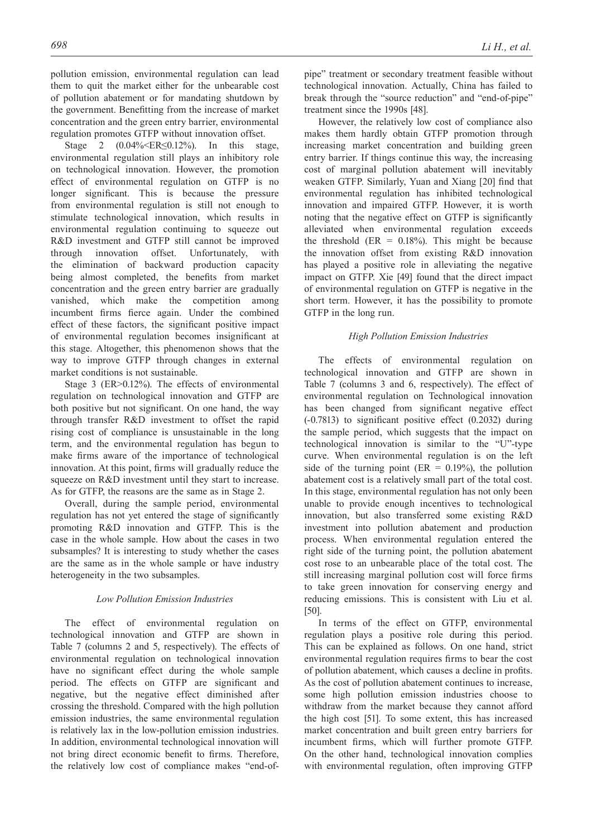pollution emission, environmental regulation can lead them to quit the market either for the unbearable cost of pollution abatement or for mandating shutdown by the government. Benefitting from the increase of market concentration and the green entry barrier, environmental regulation promotes GTFP without innovation offset.

Stage 2 (0.04%<ER≤0.12%). In this stage, environmental regulation still plays an inhibitory role on technological innovation. However, the promotion effect of environmental regulation on GTFP is no longer significant. This is because the pressure from environmental regulation is still not enough to stimulate technological innovation, which results in environmental regulation continuing to squeeze out R&D investment and GTFP still cannot be improved through innovation offset. Unfortunately, with the elimination of backward production capacity being almost completed, the benefits from market concentration and the green entry barrier are gradually vanished, which make the competition among incumbent firms fierce again. Under the combined effect of these factors, the significant positive impact of environmental regulation becomes insignificant at this stage. Altogether, this phenomenon shows that the way to improve GTFP through changes in external market conditions is not sustainable.

Stage 3 (ER>0.12%). The effects of environmental regulation on technological innovation and GTFP are both positive but not significant. On one hand, the way through transfer R&D investment to offset the rapid rising cost of compliance is unsustainable in the long term, and the environmental regulation has begun to make firms aware of the importance of technological innovation. At this point, firms will gradually reduce the squeeze on R&D investment until they start to increase. As for GTFP, the reasons are the same as in Stage 2.

Overall, during the sample period, environmental regulation has not yet entered the stage of significantly promoting R&D innovation and GTFP. This is the case in the whole sample. How about the cases in two subsamples? It is interesting to study whether the cases are the same as in the whole sample or have industry heterogeneity in the two subsamples.

#### *Low Pollution Emission Industries*

The effect of environmental regulation on technological innovation and GTFP are shown in Table 7 (columns 2 and 5, respectively). The effects of environmental regulation on technological innovation have no significant effect during the whole sample period. The effects on GTFP are significant and negative, but the negative effect diminished after crossing the threshold. Compared with the high pollution emission industries, the same environmental regulation is relatively lax in the low-pollution emission industries. In addition, environmental technological innovation will not bring direct economic benefit to firms. Therefore, the relatively low cost of compliance makes "end-ofpipe" treatment or secondary treatment feasible without technological innovation. Actually, China has failed to break through the "source reduction" and "end-of-pipe" treatment since the 1990s [48].

However, the relatively low cost of compliance also makes them hardly obtain GTFP promotion through increasing market concentration and building green entry barrier. If things continue this way, the increasing cost of marginal pollution abatement will inevitably weaken GTFP. Similarly, Yuan and Xiang [20] find that environmental regulation has inhibited technological innovation and impaired GTFP. However, it is worth noting that the negative effect on GTFP is significantly alleviated when environmental regulation exceeds the threshold (ER =  $0.18\%$ ). This might be because the innovation offset from existing R&D innovation has played a positive role in alleviating the negative impact on GTFP. Xie [49] found that the direct impact of environmental regulation on GTFP is negative in the short term. However, it has the possibility to promote GTFP in the long run.

#### *High Pollution Emission Industries*

The effects of environmental regulation on technological innovation and GTFP are shown in Table 7 (columns 3 and 6, respectively). The effect of environmental regulation on Technological innovation has been changed from significant negative effect (-0.7813) to significant positive effect (0.2032) during the sample period, which suggests that the impact on technological innovation is similar to the "U"-type curve. When environmental regulation is on the left side of the turning point ( $ER = 0.19\%$ ), the pollution abatement cost is a relatively small part of the total cost. In this stage, environmental regulation has not only been unable to provide enough incentives to technological innovation, but also transferred some existing R&D investment into pollution abatement and production process. When environmental regulation entered the right side of the turning point, the pollution abatement cost rose to an unbearable place of the total cost. The still increasing marginal pollution cost will force firms to take green innovation for conserving energy and reducing emissions. This is consistent with Liu et al. [50].

In terms of the effect on GTFP, environmental regulation plays a positive role during this period. This can be explained as follows. On one hand, strict environmental regulation requires firms to bear the cost of pollution abatement, which causes a decline in profits. As the cost of pollution abatement continues to increase, some high pollution emission industries choose to withdraw from the market because they cannot afford the high cost [51]. To some extent, this has increased market concentration and built green entry barriers for incumbent firms, which will further promote GTFP. On the other hand, technological innovation complies with environmental regulation, often improving GTFP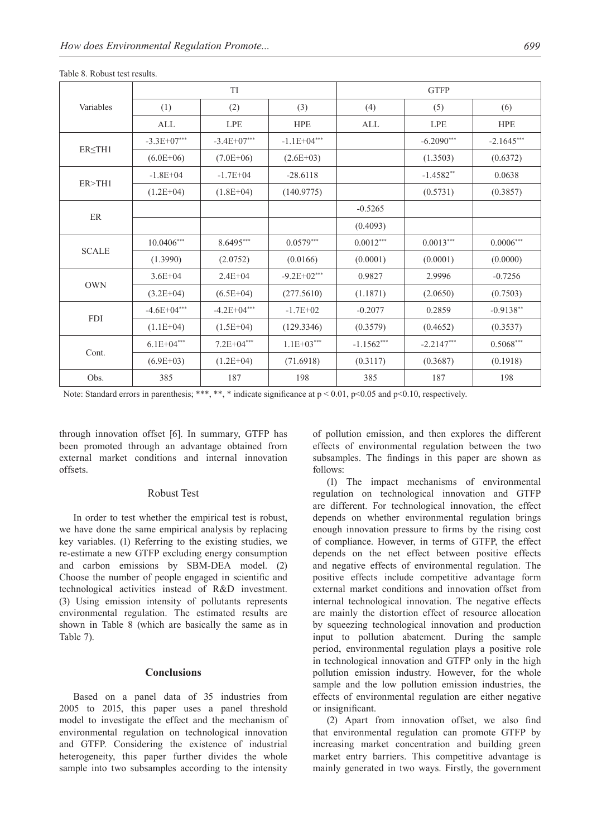|              |                 | <b>TI</b>       |                | <b>GTFP</b>  |              |              |  |
|--------------|-----------------|-----------------|----------------|--------------|--------------|--------------|--|
| Variables    | (1)             | (2)             | (3)            | (4)          | (5)          | (6)          |  |
|              | ALL             | LPE             | <b>HPE</b>     | ALL          | <b>LPE</b>   | <b>HPE</b>   |  |
|              | $-3.3E+07***$   | $-3.4E+07***$   | $-1.1E+04***$  |              | $-6.2090***$ | $-2.1645***$ |  |
| ER < T H1    | $(6.0E+06)$     | $(7.0E+06)$     | $(2.6E+03)$    |              | (1.3503)     | (0.6372)     |  |
| ER > TH1     | $-1.8E + 04$    | $-1.7E + 04$    | $-28.6118$     |              | $-1.4582**$  | 0.0638       |  |
|              | $(1.2E+04)$     | $(1.8E+04)$     | (140.9775)     |              | (0.5731)     | (0.3857)     |  |
| ER           |                 |                 |                | $-0.5265$    |              |              |  |
|              |                 |                 |                | (0.4093)     |              |              |  |
| <b>SCALE</b> | $10.0406***$    | 8.6495***       | $0.0579***$    | $0.0012***$  | $0.0013***$  | $0.0006***$  |  |
|              | (1.3990)        | (2.0752)        | (0.0166)       | (0.0001)     | (0.0001)     | (0.0000)     |  |
| <b>OWN</b>   | $3.6E + 04$     | $2.4E + 04$     | $-9.2E+02***$  | 0.9827       | 2.9996       | $-0.7256$    |  |
|              | $(3.2E+04)$     | $(6.5E+04)$     | (277.5610)     | (1.1871)     | (2.0650)     | (0.7503)     |  |
| <b>FDI</b>   | $-4.6E + 04***$ | $-4.2E + 04***$ | $-1.7E+02$     | $-0.2077$    | 0.2859       | $-0.9138**$  |  |
|              | $(1.1E+04)$     | $(1.5E+04)$     | (129.3346)     | (0.3579)     | (0.4652)     | (0.3537)     |  |
|              | $6.1E + 04***$  | $7.2E + 04***$  | $1.1E + 03***$ | $-1.1562***$ | $-2.2147***$ | $0.5068***$  |  |
| Cont.        | $(6.9E+03)$     | $(1.2E+04)$     | (71.6918)      | (0.3117)     | (0.3687)     | (0.1918)     |  |
| Obs.         | 385             | 187             | 198            | 385          | 187          | 198          |  |

Table 8. Robust test results.

Note: Standard errors in parenthesis; \*\*\*, \*\*, \* indicate significance at  $p < 0.01$ ,  $p < 0.05$  and  $p < 0.10$ , respectively.

through innovation offset [6]. In summary, GTFP has been promoted through an advantage obtained from external market conditions and internal innovation offsets.

## Robust Test

In order to test whether the empirical test is robust, we have done the same empirical analysis by replacing key variables. (1) Referring to the existing studies, we re-estimate a new GTFP excluding energy consumption and carbon emissions by SBM-DEA model. (2) Choose the number of people engaged in scientific and technological activities instead of R&D investment. (3) Using emission intensity of pollutants represents environmental regulation. The estimated results are shown in Table 8 (which are basically the same as in Table 7).

## **Conclusions**

Based on a panel data of 35 industries from 2005 to 2015, this paper uses a panel threshold model to investigate the effect and the mechanism of environmental regulation on technological innovation and GTFP. Considering the existence of industrial heterogeneity, this paper further divides the whole sample into two subsamples according to the intensity

of pollution emission, and then explores the different effects of environmental regulation between the two subsamples. The findings in this paper are shown as follows:

(1) The impact mechanisms of environmental regulation on technological innovation and GTFP are different. For technological innovation, the effect depends on whether environmental regulation brings enough innovation pressure to firms by the rising cost of compliance. However, in terms of GTFP, the effect depends on the net effect between positive effects and negative effects of environmental regulation. The positive effects include competitive advantage form external market conditions and innovation offset from internal technological innovation. The negative effects are mainly the distortion effect of resource allocation by squeezing technological innovation and production input to pollution abatement. During the sample period, environmental regulation plays a positive role in technological innovation and GTFP only in the high pollution emission industry. However, for the whole sample and the low pollution emission industries, the effects of environmental regulation are either negative or insignificant.

(2) Apart from innovation offset, we also find that environmental regulation can promote GTFP by increasing market concentration and building green market entry barriers. This competitive advantage is mainly generated in two ways. Firstly, the government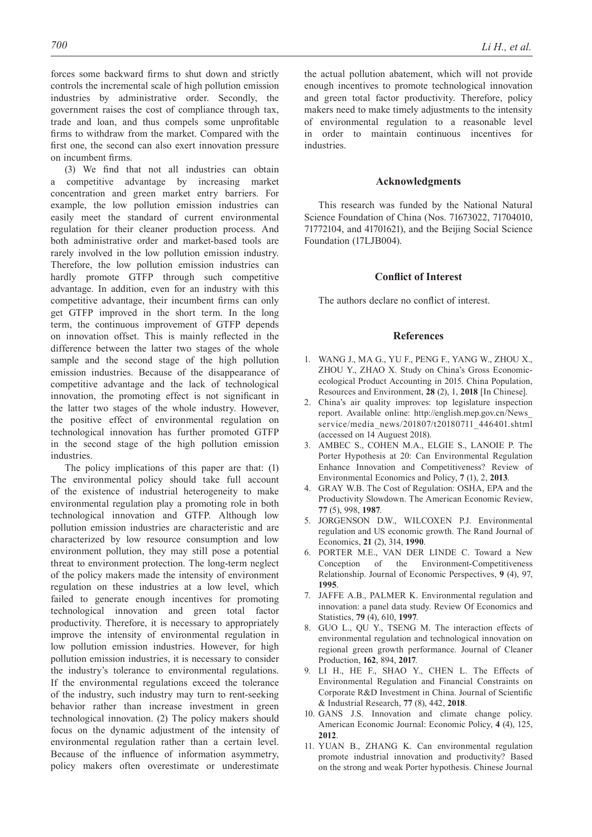forces some backward firms to shut down and strictly controls the incremental scale of high pollution emission industries by administrative order. Secondly, the government raises the cost of compliance through tax, trade and loan, and thus compels some unprofitable firms to withdraw from the market. Compared with the first one, the second can also exert innovation pressure on incumbent firms.

(3) We find that not all industries can obtain a competitive advantage by increasing market concentration and green market entry barriers. For example, the low pollution emission industries can easily meet the standard of current environmental regulation for their cleaner production process. And both administrative order and market-based tools are rarely involved in the low pollution emission industry. Therefore, the low pollution emission industries can hardly promote GTFP through such competitive advantage. In addition, even for an industry with this competitive advantage, their incumbent firms can only get GTFP improved in the short term. In the long term, the continuous improvement of GTFP depends on innovation offset. This is mainly reflected in the difference between the latter two stages of the whole sample and the second stage of the high pollution emission industries. Because of the disappearance of competitive advantage and the lack of technological innovation, the promoting effect is not significant in the latter two stages of the whole industry. However, the positive effect of environmental regulation on technological innovation has further promoted GTFP in the second stage of the high pollution emission industries.

The policy implications of this paper are that: (1) The environmental policy should take full account of the existence of industrial heterogeneity to make environmental regulation play a promoting role in both technological innovation and GTFP. Although low pollution emission industries are characteristic and are characterized by low resource consumption and low environment pollution, they may still pose a potential threat to environment protection. The long-term neglect of the policy makers made the intensity of environment regulation on these industries at a low level, which failed to generate enough incentives for promoting technological innovation and green total factor productivity. Therefore, it is necessary to appropriately improve the intensity of environmental regulation in low pollution emission industries. However, for high pollution emission industries, it is necessary to consider the industry's tolerance to environmental regulations. If the environmental regulations exceed the tolerance of the industry, such industry may turn to rent-seeking behavior rather than increase investment in green technological innovation. (2) The policy makers should focus on the dynamic adjustment of the intensity of environmental regulation rather than a certain level. Because of the influence of information asymmetry, policy makers often overestimate or underestimate the actual pollution abatement, which will not provide enough incentives to promote technological innovation and green total factor productivity. Therefore, policy makers need to make timely adjustments to the intensity of environmental regulation to a reasonable level in order to maintain continuous incentives for industries.

## **Acknowledgments**

This research was funded by the National Natural Science Foundation of China (Nos. 71673022, 71704010, 71772104, and 41701621), and the Beijing Social Science Foundation (17LJB004).

## **Conflict of Interest**

The authors declare no conflict of interest.

#### **References**

- 1. WANG J., MA G., YU F., PENG F., YANG W., ZHOU X., ZHOU Y., ZHAO X. Study on China's Gross Economicecological Product Accounting in 2015. China Population, Resources and Environment, **28** (2), 1, **2018** [In Chinese].
- 2. China's air quality improves: top legislature inspection report. Available online: http://english.mep.gov.cn/News\_ service/media\_news/201807/t20180711\_446401.shtml (accessed on 14 Auguest 2018).
- 3. AMBEC S., COHEN M.A., ELGIE S., LANOIE P. The Porter Hypothesis at 20: Can Environmental Regulation Enhance Innovation and Competitiveness? Review of Environmental Economics and Policy, **7** (1), 2, **2013**.
- 4. GRAY W.B. The Cost of Regulation: OSHA, EPA and the Productivity Slowdown. The American Economic Review, **77** (5), 998, **1987**.
- 5. JORGENSON D.W., WILCOXEN P.J. Environmental regulation and US economic growth. The Rand Journal of Economics, **21** (2), 314, **1990**.
- 6. PORTER M.E., VAN DER LINDE C. Toward a New Conception of the Environment-Competitiveness Relationship. Journal of Economic Perspectives, **9** (4), 97, **1995**.
- 7. JAFFE A.B., PALMER K. Environmental regulation and innovation: a panel data study. Review Of Economics and Statistics, **79** (4), 610, **1997**.
- 8. GUO L., QU Y., TSENG M. The interaction effects of environmental regulation and technological innovation on regional green growth performance. Journal of Cleaner Production, **162**, 894, **2017**.
- 9. LI H., HE F., SHAO Y., CHEN L. The Effects of Environmental Regulation and Financial Constraints on Corporate R&D Investment in China. Journal of Scientific & Industrial Research, **77** (8), 442, **2018**.
- 10. GANS J.S. Innovation and climate change policy. American Economic Journal: Economic Policy, **4** (4), 125, **2012**.
- 11. YUAN B., ZHANG K. Can environmental regulation promote industrial innovation and productivity? Based on the strong and weak Porter hypothesis. Chinese Journal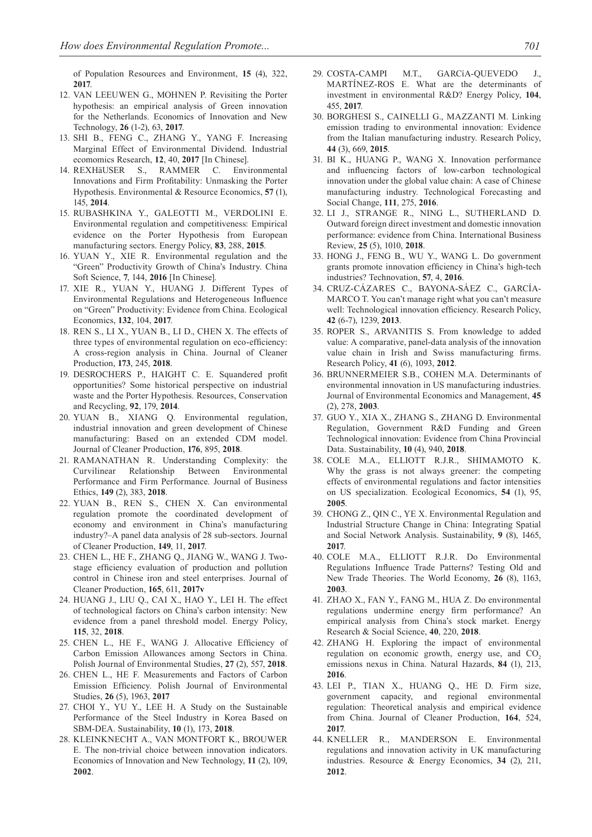of Population Resources and Environment, **15** (4), 322, **2017**.

- 12. VAN LEEUWEN G., MOHNEN P. Revisiting the Porter hypothesis: an empirical analysis of Green innovation for the Netherlands. Economics of Innovation and New Technology, **26** (1-2), 63, **2017**.
- 13. SHI B., FENG C., ZHANG Y., YANG F. Increasing Marginal Effect of Environmental Dividend. Industrial ecomomics Research, **12**, 40, **2017** [In Chinese].
- 14. REXHäUSER S., RAMMER C. Environmental Innovations and Firm Profitability: Unmasking the Porter Hypothesis. Environmental & Resource Economics, **57** (1), 145, **2014**.
- 15. RUBASHKINA Y., GALEOTTI M., VERDOLINI E. Environmental regulation and competitiveness: Empirical evidence on the Porter Hypothesis from European manufacturing sectors. Energy Policy, **83**, 288, **2015**.
- 16. YUAN Y., XIE R. Environmental regulation and the "Green" Productivity Growth of China's Industry. China Soft Science, **7**, 144, **2016** [In Chinese].
- 17. XIE R., YUAN Y., HUANG J. Different Types of Environmental Regulations and Heterogeneous Influence on "Green" Productivity: Evidence from China. Ecological Economics, **132**, 104, **2017**.
- 18. REN S., LI X., YUAN B., LI D., CHEN X. The effects of three types of environmental regulation on eco-efficiency: A cross-region analysis in China. Journal of Cleaner Production, **173**, 245, **2018**.
- 19. DESROCHERS P., HAIGHT C. E. Squandered profit opportunities? Some historical perspective on industrial waste and the Porter Hypothesis. Resources, Conservation and Recycling, **92**, 179, **2014**.
- 20. YUAN B., XIANG Q. Environmental regulation, industrial innovation and green development of Chinese manufacturing: Based on an extended CDM model. Journal of Cleaner Production, **176**, 895, **2018**.
- 21. RAMANATHAN R. Understanding Complexity: the Curvilinear Relationship Between Environmental Performance and Firm Performance. Journal of Business Ethics, **149** (2), 383, **2018**.
- 22. YUAN B., REN S., CHEN X. Can environmental regulation promote the coordinated development of economy and environment in China's manufacturing industry?–A panel data analysis of 28 sub-sectors. Journal of Cleaner Production, **149**, 11, **2017**.
- 23. CHEN L., HE F., ZHANG Q., JIANG W., WANG J. Twostage efficiency evaluation of production and pollution control in Chinese iron and steel enterprises. Journal of Cleaner Production, **165**, 611, **2017v**
- 24. HUANG J., LIU Q., CAI X., HAO Y., LEI H. The effect of technological factors on China's carbon intensity: New evidence from a panel threshold model. Energy Policy, **115**, 32, **2018**.
- 25. CHEN L., HE F., WANG J. Allocative Efficiency of Carbon Emission Allowances among Sectors in China. Polish Journal of Environmental Studies, **27** (2), 557, **2018**.
- 26. CHEN L., HE F. Measurements and Factors of Carbon Emission Efficiency. Polish Journal of Environmental Studies, **26** (5), 1963, **2017**
- 27. CHOI Y., YU Y., LEE H. A Study on the Sustainable Performance of the Steel Industry in Korea Based on SBM-DEA. Sustainability, **10** (1), 173, **2018**.
- 28. KLEINKNECHT A., VAN MONTFORT K., BROUWER E. The non-trivial choice between innovation indicators. Economics of Innovation and New Technology, **11** (2), 109, **2002**.
- 29. COSTA-CAMPI M.T., GARCíA-QUEVEDO J., MARTÍNEZ-ROS E. What are the determinants of investment in environmental R&D? Energy Policy, **104**, 455, **2017**.
- 30. BORGHESI S., CAINELLI G., MAZZANTI M. Linking emission trading to environmental innovation: Evidence from the Italian manufacturing industry. Research Policy, **44** (3), 669, **2015**.
- 31. BI K., HUANG P., WANG X. Innovation performance and influencing factors of low-carbon technological innovation under the global value chain: A case of Chinese manufacturing industry. Technological Forecasting and Social Change, **111**, 275, **2016**.
- 32. LI J., STRANGE R., NING L., SUTHERLAND D. Outward foreign direct investment and domestic innovation performance: evidence from China. International Business Review, **25** (5), 1010, **2018**.
- 33. HONG J., FENG B., WU Y., WANG L. Do government grants promote innovation efficiency in China's high-tech industries? Technovation, **57**, 4, **2016**.
- 34. CRUZ-CÁZARES C., BAYONA-SÁEZ C., GARCÍA-MARCO T. You can't manage right what you can't measure well: Technological innovation efficiency. Research Policy, **42** (6-7), 1239, **2013**.
- 35. ROPER S., ARVANITIS S. From knowledge to added value: A comparative, panel-data analysis of the innovation value chain in Irish and Swiss manufacturing firms. Research Policy, **41** (6), 1093, **2012**.
- 36. BRUNNERMEIER S.B., COHEN M.A. Determinants of environmental innovation in US manufacturing industries. Journal of Environmental Economics and Management, **45**  (2), 278, **2003**.
- 37. GUO Y., XIA X., ZHANG S., ZHANG D. Environmental Regulation, Government R&D Funding and Green Technological innovation: Evidence from China Provincial Data. Sustainability, **10** (4), 940, **2018**.
- 38. COLE M.A., ELLIOTT R.J.R., SHIMAMOTO K. Why the grass is not always greener: the competing effects of environmental regulations and factor intensities on US specialization. Ecological Economics, **54** (1), 95, **2005**.
- 39. CHONG Z., QIN C., YE X. Environmental Regulation and Industrial Structure Change in China: Integrating Spatial and Social Network Analysis. Sustainability, **9** (8), 1465, **2017**.
- 40. COLE M.A., ELLIOTT R.J.R. Do Environmental Regulations Influence Trade Patterns? Testing Old and New Trade Theories. The World Economy, **26** (8), 1163, **2003**.
- 41. ZHAO X., FAN Y., FANG M., HUA Z. Do environmental regulations undermine energy firm performance? An empirical analysis from China's stock market. Energy Research & Social Science, **40**, 220, **2018**.
- 42. ZHANG H. Exploring the impact of environmental regulation on economic growth, energy use, and CO<sub>2</sub> emissions nexus in China. Natural Hazards, **84** (1), 213, **2016**.
- 43. LEI P., TIAN X., HUANG Q., HE D. Firm size, government capacity, and regional environmental regulation: Theoretical analysis and empirical evidence from China. Journal of Cleaner Production, **164**, 524, **2017**.
- 44. KNELLER R., MANDERSON E. Environmental regulations and innovation activity in UK manufacturing industries. Resource & Energy Economics, **34** (2), 211, **2012**.